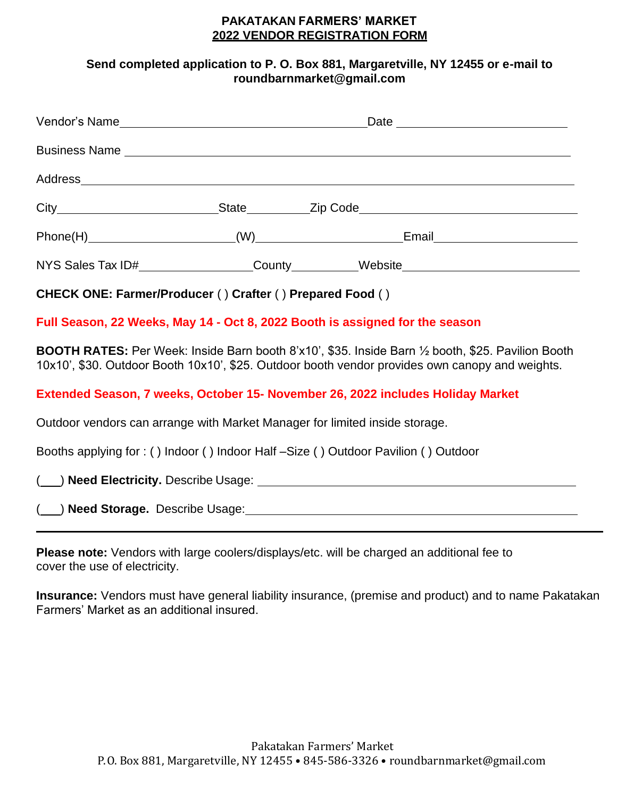## **PAKATAKAN FARMERS' MARKET 2022 VENDOR REGISTRATION FORM**

## **Send completed application to P. O. Box 881, Margaretville, NY 12455 or e-mail to [roundbarnmarket@gmail.com](mailto:roundbarnmarket@gmail.com)**

|                                                                                                              | Vendor's Name <b>Alexander Contract Contract Contract Contract Contract Contract Contract Contract Contract Contract Contract Contract Contract Contract Contract Contract Contract Contract Contract Contract Contract Contract</b> |                                                                                                                                                                                                                                  |  |  |
|--------------------------------------------------------------------------------------------------------------|--------------------------------------------------------------------------------------------------------------------------------------------------------------------------------------------------------------------------------------|----------------------------------------------------------------------------------------------------------------------------------------------------------------------------------------------------------------------------------|--|--|
|                                                                                                              |                                                                                                                                                                                                                                      | <b>Business Name Example 2018 Contract Contract Contract Contract Contract Contract Contract Contract Contract Contract Contract Contract Contract Contract Contract Contract Contract Contract Contract Contract Contract C</b> |  |  |
|                                                                                                              |                                                                                                                                                                                                                                      |                                                                                                                                                                                                                                  |  |  |
|                                                                                                              |                                                                                                                                                                                                                                      |                                                                                                                                                                                                                                  |  |  |
|                                                                                                              |                                                                                                                                                                                                                                      |                                                                                                                                                                                                                                  |  |  |
|                                                                                                              |                                                                                                                                                                                                                                      | NYS Sales Tax ID#_________________County_________Website________________________                                                                                                                                                 |  |  |
| CHECK ONE: Farmer/Producer () Crafter () Prepared Food ()                                                    |                                                                                                                                                                                                                                      |                                                                                                                                                                                                                                  |  |  |
|                                                                                                              |                                                                                                                                                                                                                                      | Full Season, 22 Weeks, May 14 - Oct 8, 2022 Booth is assigned for the season                                                                                                                                                     |  |  |
|                                                                                                              |                                                                                                                                                                                                                                      | <b>BOOTH RATES:</b> Per Week: Inside Barn booth 8'x10', \$35. Inside Barn 1⁄2 booth, \$25. Pavilion Booth<br>10x10', \$30. Outdoor Booth 10x10', \$25. Outdoor booth vendor provides own canopy and weights.                     |  |  |
| Extended Season, 7 weeks, October 15- November 26, 2022 includes Holiday Market                              |                                                                                                                                                                                                                                      |                                                                                                                                                                                                                                  |  |  |
| Outdoor vendors can arrange with Market Manager for limited inside storage.                                  |                                                                                                                                                                                                                                      |                                                                                                                                                                                                                                  |  |  |
| Booths applying for: () Indoor () Indoor Half-Size () Outdoor Pavilion () Outdoor                            |                                                                                                                                                                                                                                      |                                                                                                                                                                                                                                  |  |  |
|                                                                                                              |                                                                                                                                                                                                                                      |                                                                                                                                                                                                                                  |  |  |
| ( ) Need Storage. Describe Usage: Manual Communication of the Storage. Describe Usage:                       |                                                                                                                                                                                                                                      |                                                                                                                                                                                                                                  |  |  |
| cover the use of electricity.                                                                                |                                                                                                                                                                                                                                      | Please note: Vendors with large coolers/displays/etc. will be charged an additional fee to                                                                                                                                       |  |  |
| <b>Insurance:</b> Vendors must have general liability insurance, (premise and product) and to name Pakatakan |                                                                                                                                                                                                                                      |                                                                                                                                                                                                                                  |  |  |

Farmers' Market as an additional insured.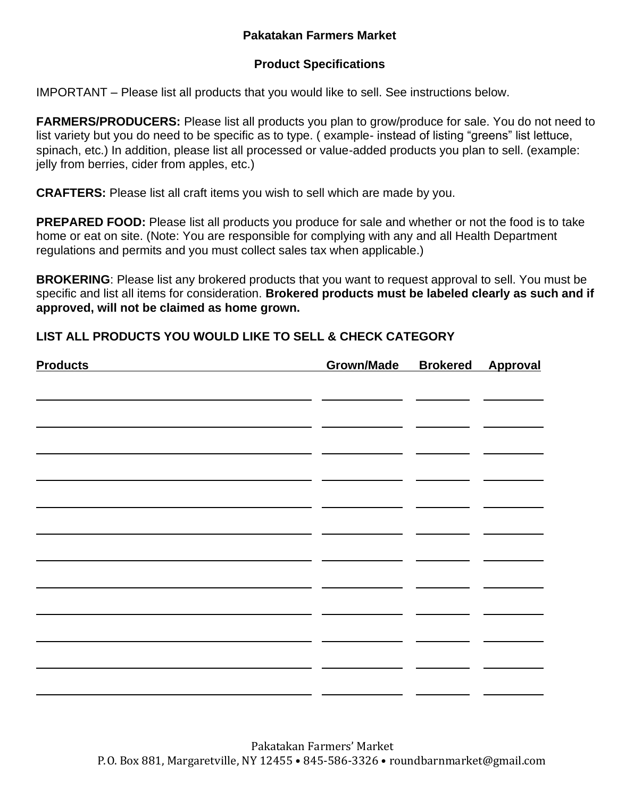## **Pakatakan Farmers Market**

## **Product Specifications**

IMPORTANT – Please list all products that you would like to sell. See instructions below.

**FARMERS/PRODUCERS:** Please list all products you plan to grow/produce for sale. You do not need to list variety but you do need to be specific as to type. ( example- instead of listing "greens" list lettuce, spinach, etc.) In addition, please list all processed or value-added products you plan to sell. (example: jelly from berries, cider from apples, etc.)

**CRAFTERS:** Please list all craft items you wish to sell which are made by you.

**PREPARED FOOD:** Please list all products you produce for sale and whether or not the food is to take home or eat on site. (Note: You are responsible for complying with any and all Health Department regulations and permits and you must collect sales tax when applicable.)

**BROKERING**: Please list any brokered products that you want to request approval to sell. You must be specific and list all items for consideration. **Brokered products must be labeled clearly as such and if approved, will not be claimed as home grown.**

## **LIST ALL PRODUCTS YOU WOULD LIKE TO SELL & CHECK CATEGORY**

| <b>Products</b> | Grown/Made Brokered Approval |  |
|-----------------|------------------------------|--|
|                 |                              |  |
|                 |                              |  |
|                 |                              |  |
|                 |                              |  |
|                 |                              |  |
|                 |                              |  |
|                 |                              |  |
|                 |                              |  |
|                 |                              |  |
|                 |                              |  |
|                 |                              |  |
|                 |                              |  |
|                 |                              |  |
|                 |                              |  |
|                 |                              |  |
|                 |                              |  |
|                 |                              |  |
|                 |                              |  |
|                 |                              |  |
|                 |                              |  |
|                 |                              |  |
|                 |                              |  |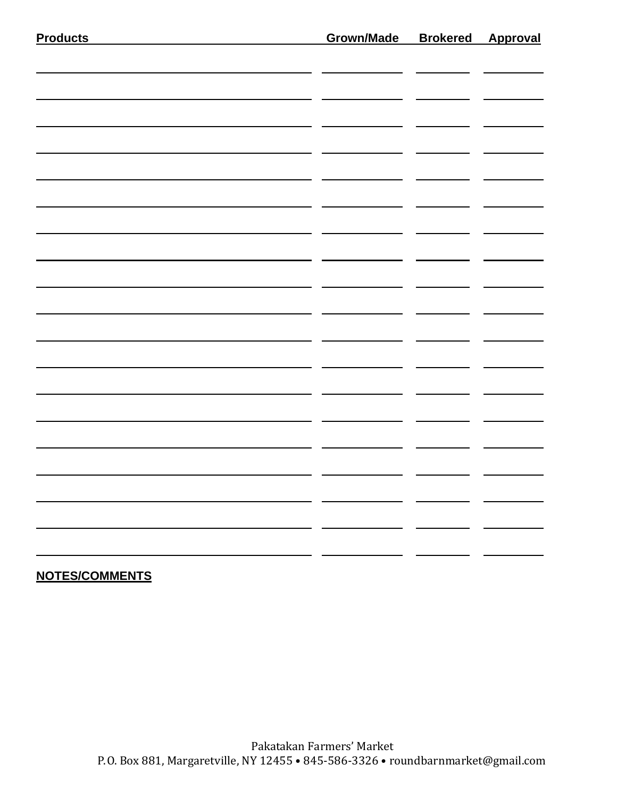| $\mathbf{r}$ |  |
|--------------|--|

# **NOTES/COMMENTS**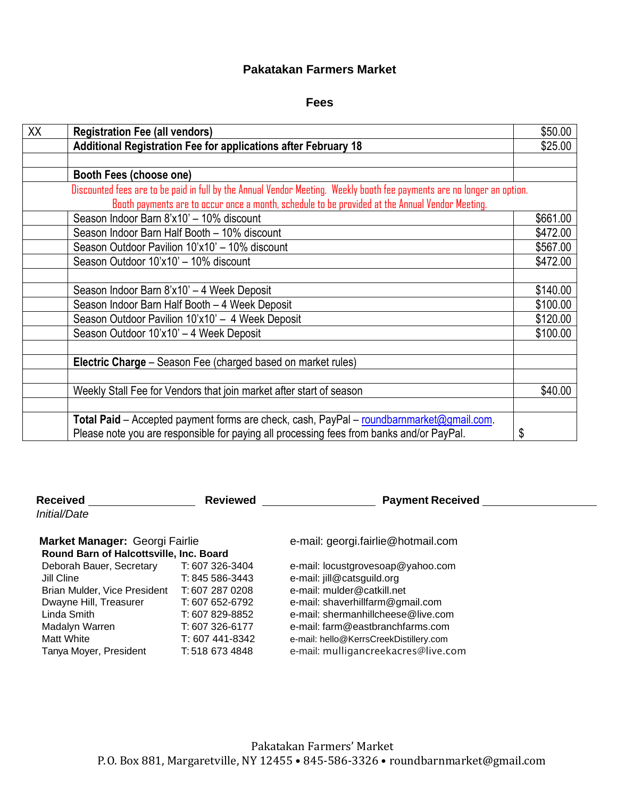### **Pakatakan Farmers Market**

#### **Fees**

| XX | <b>Registration Fee (all vendors)</b>                                                                                   | \$50.00  |
|----|-------------------------------------------------------------------------------------------------------------------------|----------|
|    | Additional Registration Fee for applications after February 18                                                          | \$25.00  |
|    |                                                                                                                         |          |
|    | Booth Fees (choose one)                                                                                                 |          |
|    | Discounted fees are to be paid in full by the Annual Vendor Meeting. Weekly booth fee payments are no longer an option. |          |
|    | Booth payments are to occur once a month, schedule to be provided at the Annual Vendor Meeting.                         |          |
|    | Season Indoor Barn 8'x10' - 10% discount                                                                                | \$661.00 |
|    | Season Indoor Barn Half Booth - 10% discount                                                                            | \$472.00 |
|    | Season Outdoor Pavilion 10'x10' - 10% discount                                                                          | \$567.00 |
|    | Season Outdoor 10'x10' - 10% discount                                                                                   | \$472.00 |
|    |                                                                                                                         |          |
|    | Season Indoor Barn 8'x10' - 4 Week Deposit                                                                              | \$140.00 |
|    | Season Indoor Barn Half Booth - 4 Week Deposit                                                                          | \$100.00 |
|    | Season Outdoor Pavilion 10'x10' - 4 Week Deposit                                                                        | \$120.00 |
|    | Season Outdoor 10'x10' - 4 Week Deposit                                                                                 | \$100.00 |
|    |                                                                                                                         |          |
|    | Electric Charge - Season Fee (charged based on market rules)                                                            |          |
|    |                                                                                                                         |          |
|    | Weekly Stall Fee for Vendors that join market after start of season                                                     | \$40.00  |
|    |                                                                                                                         |          |
|    | Total Paid - Accepted payment forms are check, cash, PayPal - roundbarnmarket@gmail.com.                                |          |
|    | Please note you are responsible for paying all processing fees from banks and/or PayPal.                                | \$       |

**Received** *Initial/Date*

**Reviewed Community Reviewed** Payment Received

## Market Manager: Georgi Fairlie **Entrary Edge and Fernal**: [georgi.fairlie@hotmail.com](mailto:georgi.fairlie@hotmail.com)

| Round Barn of Halcottsville, Inc. Board |                 |  |  |
|-----------------------------------------|-----------------|--|--|
| Deborah Bauer, Secretary                | T: 607 326-3404 |  |  |
| Jill Cline                              | T: 845 586-3443 |  |  |
| Brian Mulder, Vice President            | T:607 287 0208  |  |  |
| Dwayne Hill, Treasurer                  | T: 607 652-6792 |  |  |
| Linda Smith                             | T: 607 829-8852 |  |  |
| Madalyn Warren                          | T: 607 326-6177 |  |  |
| <b>Matt White</b>                       | T: 607 441-834  |  |  |
| Tanya Moyer, President                  | T: 518 673 4848 |  |  |

4 e-mail: [locustgrovesoap@yahoo.com](mailto:locustgrovesoap@yahoo.com)

3 e-mail: [jill@catsguild.org](mailto:jill@catsguild.org)

8 e-mail: [mulder@catkill.net](mailto:mulder@catkill.net)

2 e-mail: [shaverhillfarm@gmail.com](mailto:shaverhillfarm@gmail.com)

Linda Smith T: 607 829-8852 e-mail: [shermanhillcheese@live.com](mailto:shermanhillcheese@live.com)

Madalyn Warren T: 607 326-6177 e-mail: [farm@eastbranchfarms.com](mailto:farm@eastbranchfarms.com)

e-mail: hello@KerrsCreekDistillery.com

8 e-mail: [mulligancreekacres@live.com](mailto:mulligancreekacres@live.com)